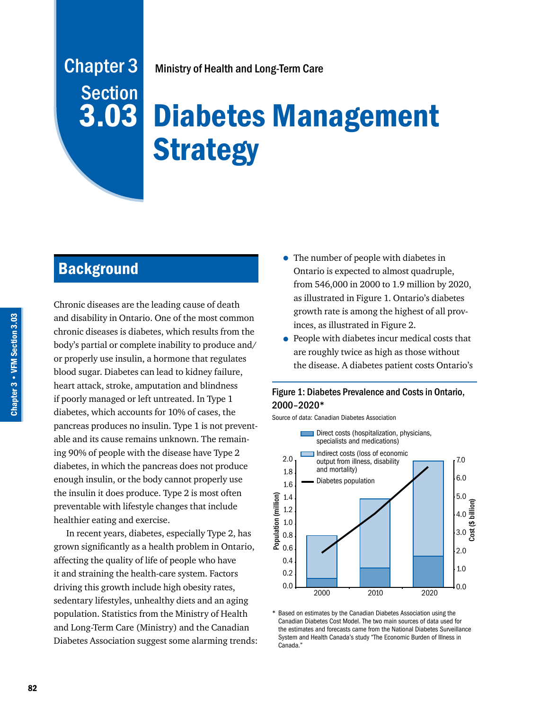## Chapter 3 **Section** 3.03

Ministry of Health and Long-Term Care

# Diabetes Management **Strategy**

## **Background**

Chronic diseases are the leading cause of death and disability in Ontario. One of the most common chronic diseases is diabetes, which results from the body's partial or complete inability to produce and/ or properly use insulin, a hormone that regulates blood sugar. Diabetes can lead to kidney failure, heart attack, stroke, amputation and blindness if poorly managed or left untreated. In Type 1 diabetes, which accounts for 10% of cases, the pancreas produces no insulin. Type 1 is not preventable and its cause remains unknown. The remaining 90% of people with the disease have Type 2 diabetes, in which the pancreas does not produce enough insulin, or the body cannot properly use the insulin it does produce. Type 2 is most often preventable with lifestyle changes that include healthier eating and exercise.

In recent years, diabetes, especially Type 2, has grown significantly as a health problem in Ontario, affecting the quality of life of people who have it and straining the health-care system. Factors driving this growth include high obesity rates, sedentary lifestyles, unhealthy diets and an aging population. Statistics from the Ministry of Health and Long-Term Care (Ministry) and the Canadian Diabetes Association suggest some alarming trends:

- The number of people with diabetes in Ontario is expected to almost quadruple, from 546,000 in 2000 to 1.9 million by 2020, as illustrated in Figure 1. Ontario's diabetes growth rate is among the highest of all provinces, as illustrated in Figure 2.
- People with diabetes incur medical costs that are roughly twice as high as those without the disease. A diabetes patient costs Ontario's

#### Figure 1: Diabetes Prevalence and Costs in Ontario, 2000–2020\*

Source of data: Canadian Diabetes Association



\* Based on estimates by the Canadian Diabetes Association using the Canadian Diabetes Cost Model. The two main sources of data used for the estimates and forecasts came from the National Diabetes Surveillance System and Health Canada's study "The Economic Burden of Illness in Canada."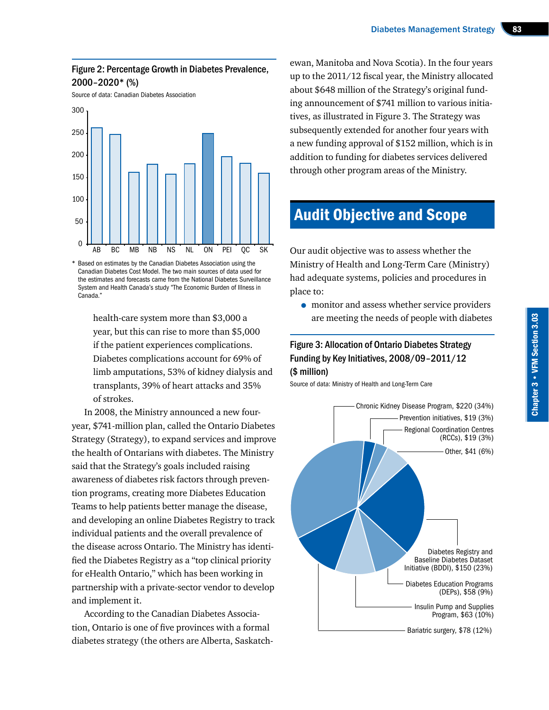#### Figure 2: Percentage Growth in Diabetes Prevalence, 2000–2020\* (%)

Source of data: Canadian Diabetes Association



\* Based on estimates by the Canadian Diabetes Association using the Canadian Diabetes Cost Model. The two main sources of data used for the estimates and forecasts came from the National Diabetes Surveillance System and Health Canada's study "The Economic Burden of Illness in Canada."

> health-care system more than \$3,000 a year, but this can rise to more than \$5,000 if the patient experiences complications. Diabetes complications account for 69% of limb amputations, 53% of kidney dialysis and transplants, 39% of heart attacks and 35% of strokes.

In 2008, the Ministry announced a new fouryear, \$741-million plan, called the Ontario Diabetes Strategy (Strategy), to expand services and improve the health of Ontarians with diabetes. The Ministry said that the Strategy's goals included raising awareness of diabetes risk factors through prevention programs, creating more Diabetes Education Teams to help patients better manage the disease, and developing an online Diabetes Registry to track individual patients and the overall prevalence of the disease across Ontario. The Ministry has identified the Diabetes Registry as a "top clinical priority for eHealth Ontario," which has been working in partnership with a private-sector vendor to develop and implement it.

According to the Canadian Diabetes Association, Ontario is one of five provinces with a formal diabetes strategy (the others are Alberta, Saskatch-

ewan, Manitoba and Nova Scotia). In the four years up to the 2011/12 fiscal year, the Ministry allocated about \$648 million of the Strategy's original funding announcement of \$741 million to various initiatives, as illustrated in Figure 3. The Strategy was subsequently extended for another four years with a new funding approval of \$152 million, which is in addition to funding for diabetes services delivered through other program areas of the Ministry.

## Audit Objective and Scope

Our audit objective was to assess whether the Ministry of Health and Long-Term Care (Ministry) had adequate systems, policies and procedures in place to:

• monitor and assess whether service providers are meeting the needs of people with diabetes

#### Figure 3: Allocation of Ontario Diabetes Strategy Funding by Key Initiatives, 2008/09–2011/12 (\$ million)

Source of data: Ministry of Health and Long-Term Care

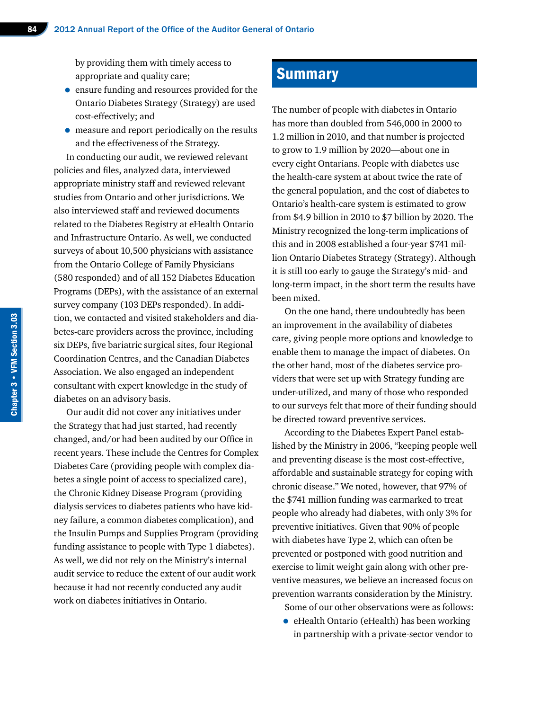by providing them with timely access to appropriate and quality care;

- ensure funding and resources provided for the Ontario Diabetes Strategy (Strategy) are used cost-effectively; and
- measure and report periodically on the results and the effectiveness of the Strategy.

In conducting our audit, we reviewed relevant policies and files, analyzed data, interviewed appropriate ministry staff and reviewed relevant studies from Ontario and other jurisdictions. We also interviewed staff and reviewed documents related to the Diabetes Registry at eHealth Ontario and Infrastructure Ontario. As well, we conducted surveys of about 10,500 physicians with assistance from the Ontario College of Family Physicians (580 responded) and of all 152 Diabetes Education Programs (DEPs), with the assistance of an external survey company (103 DEPs responded). In addition, we contacted and visited stakeholders and diabetes-care providers across the province, including six DEPs, five bariatric surgical sites, four Regional Coordination Centres, and the Canadian Diabetes Association. We also engaged an independent consultant with expert knowledge in the study of diabetes on an advisory basis.

Our audit did not cover any initiatives under the Strategy that had just started, had recently changed, and/or had been audited by our Office in recent years. These include the Centres for Complex Diabetes Care (providing people with complex diabetes a single point of access to specialized care), the Chronic Kidney Disease Program (providing dialysis services to diabetes patients who have kidney failure, a common diabetes complication), and the Insulin Pumps and Supplies Program (providing funding assistance to people with Type 1 diabetes). As well, we did not rely on the Ministry's internal audit service to reduce the extent of our audit work because it had not recently conducted any audit work on diabetes initiatives in Ontario.

### **Summary**

The number of people with diabetes in Ontario has more than doubled from 546,000 in 2000 to 1.2 million in 2010, and that number is projected to grow to 1.9 million by 2020—about one in every eight Ontarians. People with diabetes use the health-care system at about twice the rate of the general population, and the cost of diabetes to Ontario's health-care system is estimated to grow from \$4.9 billion in 2010 to \$7 billion by 2020. The Ministry recognized the long-term implications of this and in 2008 established a four-year \$741 million Ontario Diabetes Strategy (Strategy). Although it is still too early to gauge the Strategy's mid- and long-term impact, in the short term the results have been mixed.

On the one hand, there undoubtedly has been an improvement in the availability of diabetes care, giving people more options and knowledge to enable them to manage the impact of diabetes. On the other hand, most of the diabetes service providers that were set up with Strategy funding are under-utilized, and many of those who responded to our surveys felt that more of their funding should be directed toward preventive services.

According to the Diabetes Expert Panel established by the Ministry in 2006, "keeping people well and preventing disease is the most cost-effective, affordable and sustainable strategy for coping with chronic disease." We noted, however, that 97% of the \$741 million funding was earmarked to treat people who already had diabetes, with only 3% for preventive initiatives. Given that 90% of people with diabetes have Type 2, which can often be prevented or postponed with good nutrition and exercise to limit weight gain along with other preventive measures, we believe an increased focus on prevention warrants consideration by the Ministry.

- Some of our other observations were as follows:
- eHealth Ontario (eHealth) has been working in partnership with a private-sector vendor to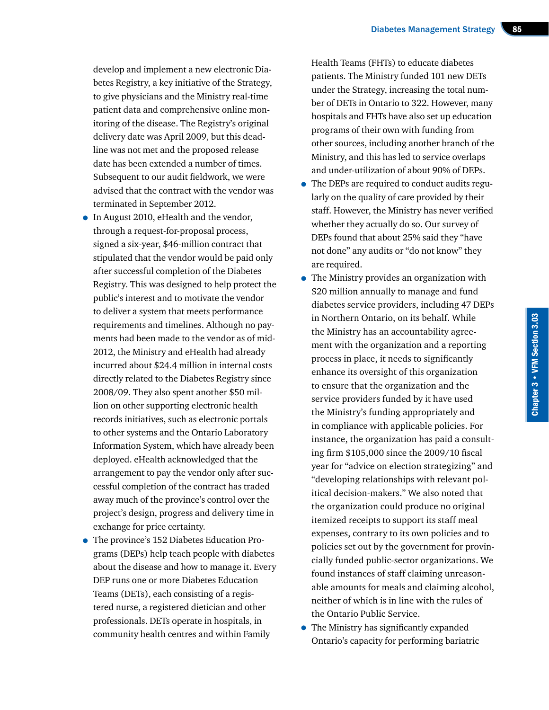develop and implement a new electronic Diabetes Registry, a key initiative of the Strategy, to give physicians and the Ministry real-time patient data and comprehensive online monitoring of the disease. The Registry's original delivery date was April 2009, but this deadline was not met and the proposed release date has been extended a number of times. Subsequent to our audit fieldwork, we were advised that the contract with the vendor was terminated in September 2012.

- In August 2010, eHealth and the vendor, through a request-for-proposal process, signed a six-year, \$46-million contract that stipulated that the vendor would be paid only after successful completion of the Diabetes Registry. This was designed to help protect the public's interest and to motivate the vendor to deliver a system that meets performance requirements and timelines. Although no payments had been made to the vendor as of mid-2012, the Ministry and eHealth had already incurred about \$24.4 million in internal costs directly related to the Diabetes Registry since 2008/09. They also spent another \$50 million on other supporting electronic health records initiatives, such as electronic portals to other systems and the Ontario Laboratory Information System, which have already been deployed. eHealth acknowledged that the arrangement to pay the vendor only after successful completion of the contract has traded away much of the province's control over the project's design, progress and delivery time in exchange for price certainty.
- The province's 152 Diabetes Education Programs (DEPs) help teach people with diabetes about the disease and how to manage it. Every DEP runs one or more Diabetes Education Teams (DETs), each consisting of a registered nurse, a registered dietician and other professionals. DETs operate in hospitals, in community health centres and within Family

Health Teams (FHTs) to educate diabetes patients. The Ministry funded 101 new DETs under the Strategy, increasing the total number of DETs in Ontario to 322. However, many hospitals and FHTs have also set up education programs of their own with funding from other sources, including another branch of the Ministry, and this has led to service overlaps and under-utilization of about 90% of DEPs.

- The DEPs are required to conduct audits regularly on the quality of care provided by their staff. However, the Ministry has never verified whether they actually do so. Our survey of DEPs found that about 25% said they "have not done" any audits or "do not know" they are required.
- The Ministry provides an organization with \$20 million annually to manage and fund diabetes service providers, including 47 DEPs in Northern Ontario, on its behalf. While the Ministry has an accountability agreement with the organization and a reporting process in place, it needs to significantly enhance its oversight of this organization to ensure that the organization and the service providers funded by it have used the Ministry's funding appropriately and in compliance with applicable policies. For instance, the organization has paid a consulting firm \$105,000 since the 2009/10 fiscal year for "advice on election strategizing" and "developing relationships with relevant political decision-makers." We also noted that the organization could produce no original itemized receipts to support its staff meal expenses, contrary to its own policies and to policies set out by the government for provincially funded public-sector organizations. We found instances of staff claiming unreasonable amounts for meals and claiming alcohol, neither of which is in line with the rules of the Ontario Public Service.
- The Ministry has significantly expanded Ontario's capacity for performing bariatric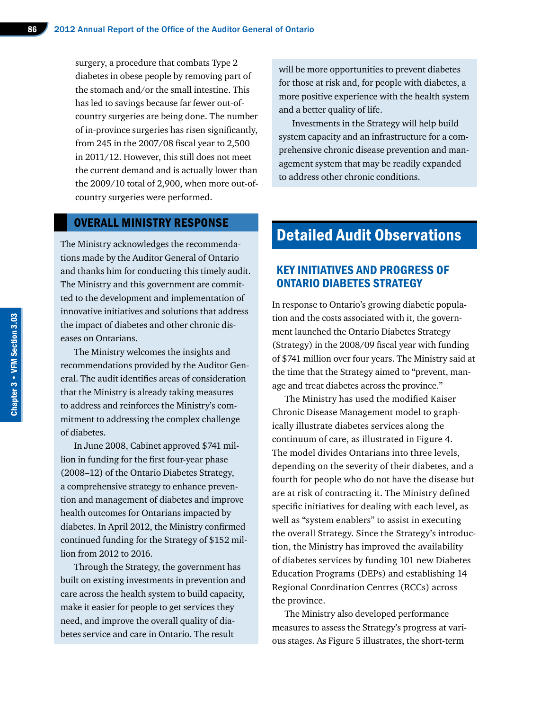surgery, a procedure that combats Type 2 diabetes in obese people by removing part of the stomach and/or the small intestine. This has led to savings because far fewer out-ofcountry surgeries are being done. The number of in-province surgeries has risen significantly, from 245 in the 2007/08 fiscal year to 2,500 in 2011/12. However, this still does not meet the current demand and is actually lower than the 2009/10 total of 2,900, when more out-ofcountry surgeries were performed.

#### OVERALL MINISTRY RESPONSE

The Ministry acknowledges the recommendations made by the Auditor General of Ontario and thanks him for conducting this timely audit. The Ministry and this government are committed to the development and implementation of innovative initiatives and solutions that address the impact of diabetes and other chronic diseases on Ontarians.

The Ministry welcomes the insights and recommendations provided by the Auditor General. The audit identifies areas of consideration that the Ministry is already taking measures to address and reinforces the Ministry's commitment to addressing the complex challenge of diabetes.

In June 2008, Cabinet approved \$741 million in funding for the first four-year phase (2008–12) of the Ontario Diabetes Strategy, a comprehensive strategy to enhance prevention and management of diabetes and improve health outcomes for Ontarians impacted by diabetes. In April 2012, the Ministry confirmed continued funding for the Strategy of \$152 million from 2012 to 2016.

Through the Strategy, the government has built on existing investments in prevention and care across the health system to build capacity, make it easier for people to get services they need, and improve the overall quality of diabetes service and care in Ontario. The result

will be more opportunities to prevent diabetes for those at risk and, for people with diabetes, a more positive experience with the health system and a better quality of life.

Investments in the Strategy will help build system capacity and an infrastructure for a comprehensive chronic disease prevention and management system that may be readily expanded to address other chronic conditions.

## Detailed Audit Observations

#### KEY INITIATIVES AND PROGRESS OF ONTARIO DIABETES STRATEGY

In response to Ontario's growing diabetic population and the costs associated with it, the government launched the Ontario Diabetes Strategy (Strategy) in the 2008/09 fiscal year with funding of \$741 million over four years. The Ministry said at the time that the Strategy aimed to "prevent, manage and treat diabetes across the province."

The Ministry has used the modified Kaiser Chronic Disease Management model to graphically illustrate diabetes services along the continuum of care, as illustrated in Figure 4. The model divides Ontarians into three levels, depending on the severity of their diabetes, and a fourth for people who do not have the disease but are at risk of contracting it. The Ministry defined specific initiatives for dealing with each level, as well as "system enablers" to assist in executing the overall Strategy. Since the Strategy's introduction, the Ministry has improved the availability of diabetes services by funding 101 new Diabetes Education Programs (DEPs) and establishing 14 Regional Coordination Centres (RCCs) across the province.

The Ministry also developed performance measures to assess the Strategy's progress at various stages. As Figure 5 illustrates, the short-term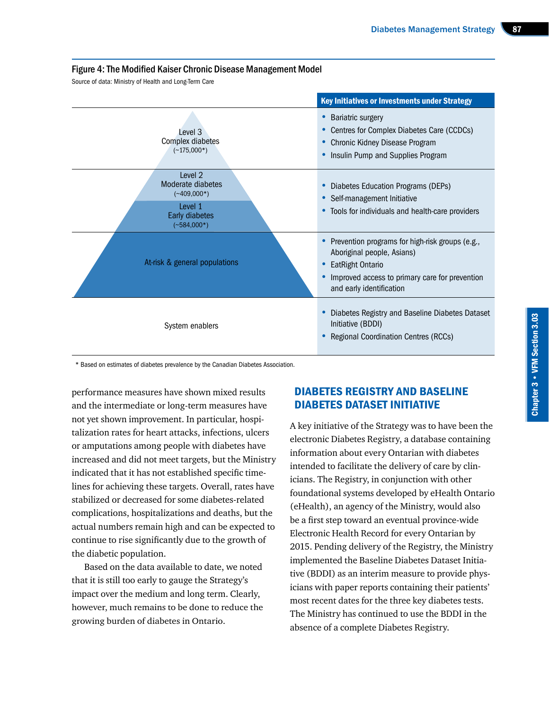#### Figure 4:The Modified Kaiser Chronic Disease Management Model

Source of data: Ministry of Health and Long-Term Care

| <b>Key Initiatives or Investments under Strategy</b>                                        |                                                                                                                                                                                     |  |  |
|---------------------------------------------------------------------------------------------|-------------------------------------------------------------------------------------------------------------------------------------------------------------------------------------|--|--|
| Level 3<br>Complex diabetes<br>$(-175,000*)$                                                | Bariatric surgery<br>• Centres for Complex Diabetes Care (CCDCs)<br>Chronic Kidney Disease Program<br>Insulin Pump and Supplies Program                                             |  |  |
| Level 2<br>Moderate diabetes<br>$(*409,000*)$<br>Level 1<br>Early diabetes<br>$(-584,000*)$ | • Diabetes Education Programs (DEPs)<br>• Self-management Initiative<br>• Tools for individuals and health-care providers                                                           |  |  |
| At-risk & general populations                                                               | • Prevention programs for high-risk groups (e.g.,<br>Aboriginal people, Asians)<br>• EatRight Ontario<br>Improved access to primary care for prevention<br>and early identification |  |  |
| System enablers                                                                             | Diabetes Registry and Baseline Diabetes Dataset<br>Initiative (BDDI)<br>Regional Coordination Centres (RCCs)                                                                        |  |  |

\* Based on estimates of diabetes prevalence by the Canadian Diabetes Association.

performance measures have shown mixed results and the intermediate or long-term measures have not yet shown improvement. In particular, hospitalization rates for heart attacks, infections, ulcers or amputations among people with diabetes have increased and did not meet targets, but the Ministry indicated that it has not established specific timelines for achieving these targets. Overall, rates have stabilized or decreased for some diabetes-related complications, hospitalizations and deaths, but the actual numbers remain high and can be expected to continue to rise significantly due to the growth of the diabetic population.

Based on the data available to date, we noted that it is still too early to gauge the Strategy's impact over the medium and long term. Clearly, however, much remains to be done to reduce the growing burden of diabetes in Ontario.

#### DIABETES REGISTRY AND BASELINE DIABETES DATASET INITIATIVE

A key initiative of the Strategy was to have been the electronic Diabetes Registry, a database containing information about every Ontarian with diabetes intended to facilitate the delivery of care by clinicians. The Registry, in conjunction with other foundational systems developed by eHealth Ontario (eHealth), an agency of the Ministry, would also be a first step toward an eventual province-wide Electronic Health Record for every Ontarian by 2015. Pending delivery of the Registry, the Ministry implemented the Baseline Diabetes Dataset Initiative (BDDI) as an interim measure to provide physicians with paper reports containing their patients' most recent dates for the three key diabetes tests. The Ministry has continued to use the BDDI in the absence of a complete Diabetes Registry.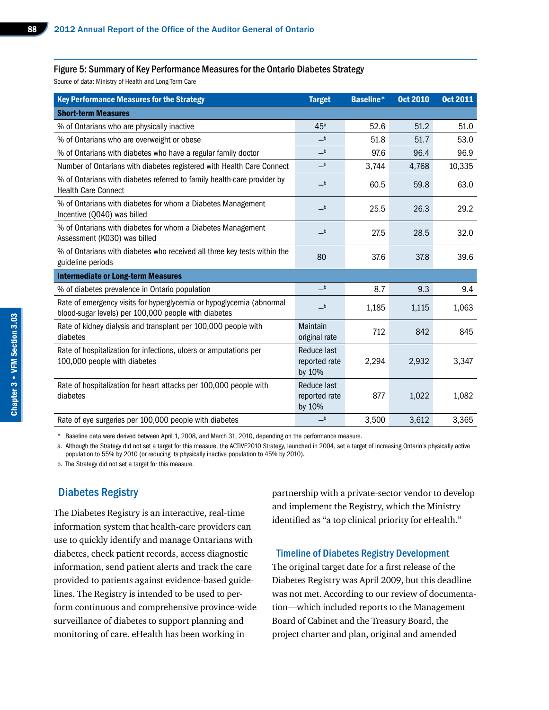#### Figure 5: Summary of Key Performance Measures for the Ontario Diabetes Strategy

Source of data: Ministry of Health and Long-Term Care

| <b>Key Performance Measures for the Strategy</b>                                                                             | <b>Target</b>                          | <b>Baseline*</b>        | <b>Oct 2010</b> | <b>Oct 2011</b> |
|------------------------------------------------------------------------------------------------------------------------------|----------------------------------------|-------------------------|-----------------|-----------------|
| <b>Short-term Measures</b>                                                                                                   |                                        |                         |                 |                 |
| % of Ontarians who are physically inactive                                                                                   | 45 <sup>a</sup>                        | 52.6                    | 51.2            | 51.0            |
| % of Ontarians who are overweight or obese                                                                                   | $-b$                                   | 51.8                    | 51.7            | 53.0            |
| % of Ontarians with diabetes who have a regular family doctor                                                                | $\overline{\phantom{0}}^{\rm b}$       | 97.6                    | 96.4            | 96.9            |
| Number of Ontarians with diabetes registered with Health Care Connect                                                        | $-b$                                   | 3,744                   | 4,768           | 10,335          |
| % of Ontarians with diabetes referred to family health-care provider by<br><b>Health Care Connect</b>                        | $-b$                                   | 60.5                    | 59.8            | 63.0            |
| % of Ontarians with diabetes for whom a Diabetes Management<br>Incentive (Q040) was billed                                   | $-b$                                   | 25.5                    | 26.3            | 29.2            |
| % of Ontarians with diabetes for whom a Diabetes Management<br>Assessment (K030) was billed                                  | $-b$                                   | 27.5                    | 28.5            | 32.0            |
| % of Ontarians with diabetes who received all three key tests within the<br>guideline periods                                | 80                                     | 37.6                    | 37.8            | 39.6            |
| <b>Intermediate or Long-term Measures</b>                                                                                    |                                        |                         |                 |                 |
| % of diabetes prevalence in Ontario population                                                                               | $-b$                                   | 8.7                     | 9.3             | 9.4             |
| Rate of emergency visits for hyperglycemia or hypoglycemia (abnormal<br>blood-sugar levels) per 100,000 people with diabetes | $-b$                                   | 1,185<br>1,063<br>1,115 |                 |                 |
| Rate of kidney dialysis and transplant per 100,000 people with<br>diabetes                                                   | Maintain<br>original rate              | 712                     | 842             | 845             |
| Rate of hospitalization for infections, ulcers or amputations per<br>100,000 people with diabetes                            | Reduce last<br>reported rate<br>by 10% | 2,294                   | 2,932           | 3,347           |
| Rate of hospitalization for heart attacks per 100,000 people with<br>diabetes                                                | Reduce last<br>reported rate<br>by 10% | 877                     | 1,022           | 1,082           |
| Rate of eye surgeries per 100,000 people with diabetes                                                                       | $\_b$                                  | 3,500                   | 3,612           | 3,365           |

Baseline data were derived between April 1, 2008, and March 31, 2010, depending on the performance measure.

a. Although the Strategy did not set a target for this measure, the ACTIVE2010 Strategy, launched in 2004, set a target of increasing Ontario's physically active population to 55% by 2010 (or reducing its physically inactive population to 45% by 2010).

b. The Strategy did not set a target for this measure.

#### Diabetes Registry

The Diabetes Registry is an interactive, real-time information system that health-care providers can use to quickly identify and manage Ontarians with diabetes, check patient records, access diagnostic information, send patient alerts and track the care provided to patients against evidence-based guidelines. The Registry is intended to be used to perform continuous and comprehensive province-wide surveillance of diabetes to support planning and monitoring of care. eHealth has been working in

partnership with a private-sector vendor to develop and implement the Registry, which the Ministry identified as "a top clinical priority for eHealth."

#### Timeline of Diabetes Registry Development

The original target date for a first release of the Diabetes Registry was April 2009, but this deadline was not met. According to our review of documentation—which included reports to the Management Board of Cabinet and the Treasury Board, the project charter and plan, original and amended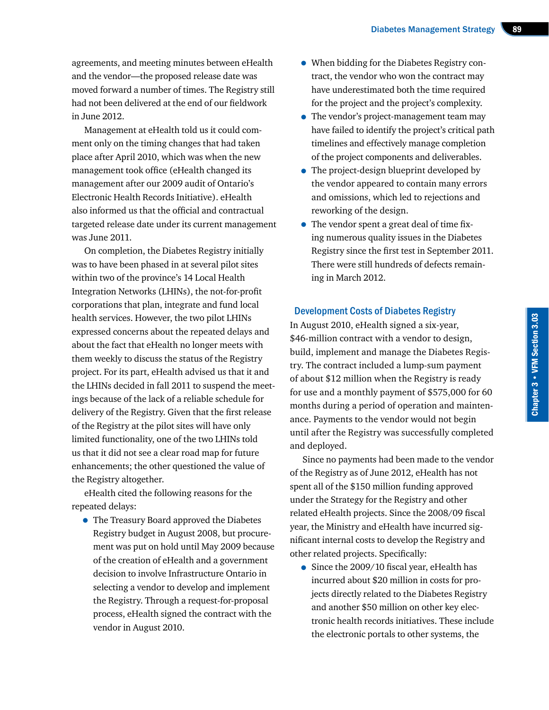agreements, and meeting minutes between eHealth and the vendor—the proposed release date was moved forward a number of times. The Registry still had not been delivered at the end of our fieldwork in June 2012.

Management at eHealth told us it could comment only on the timing changes that had taken place after April 2010, which was when the new management took office (eHealth changed its management after our 2009 audit of Ontario's Electronic Health Records Initiative). eHealth also informed us that the official and contractual targeted release date under its current management was June 2011.

On completion, the Diabetes Registry initially was to have been phased in at several pilot sites within two of the province's 14 Local Health Integration Networks (LHINs), the not-for-profit corporations that plan, integrate and fund local health services. However, the two pilot LHINs expressed concerns about the repeated delays and about the fact that eHealth no longer meets with them weekly to discuss the status of the Registry project. For its part, eHealth advised us that it and the LHINs decided in fall 2011 to suspend the meetings because of the lack of a reliable schedule for delivery of the Registry. Given that the first release of the Registry at the pilot sites will have only limited functionality, one of the two LHINs told us that it did not see a clear road map for future enhancements; the other questioned the value of the Registry altogether.

eHealth cited the following reasons for the repeated delays:

• The Treasury Board approved the Diabetes Registry budget in August 2008, but procurement was put on hold until May 2009 because of the creation of eHealth and a government decision to involve Infrastructure Ontario in selecting a vendor to develop and implement the Registry. Through a request-for-proposal process, eHealth signed the contract with the vendor in August 2010.

- When bidding for the Diabetes Registry contract, the vendor who won the contract may have underestimated both the time required for the project and the project's complexity.
- The vendor's project-management team may have failed to identify the project's critical path timelines and effectively manage completion of the project components and deliverables.
- The project-design blueprint developed by the vendor appeared to contain many errors and omissions, which led to rejections and reworking of the design.
- The vendor spent a great deal of time fixing numerous quality issues in the Diabetes Registry since the first test in September 2011. There were still hundreds of defects remaining in March 2012.

#### Development Costs of Diabetes Registry

In August 2010, eHealth signed a six-year, \$46-million contract with a vendor to design, build, implement and manage the Diabetes Registry. The contract included a lump-sum payment of about \$12 million when the Registry is ready for use and a monthly payment of \$575,000 for 60 months during a period of operation and maintenance. Payments to the vendor would not begin until after the Registry was successfully completed and deployed.

Since no payments had been made to the vendor of the Registry as of June 2012, eHealth has not spent all of the \$150 million funding approved under the Strategy for the Registry and other related eHealth projects. Since the 2008/09 fiscal year, the Ministry and eHealth have incurred significant internal costs to develop the Registry and other related projects. Specifically:

• Since the 2009/10 fiscal year, eHealth has incurred about \$20 million in costs for projects directly related to the Diabetes Registry and another \$50 million on other key electronic health records initiatives. These include the electronic portals to other systems, the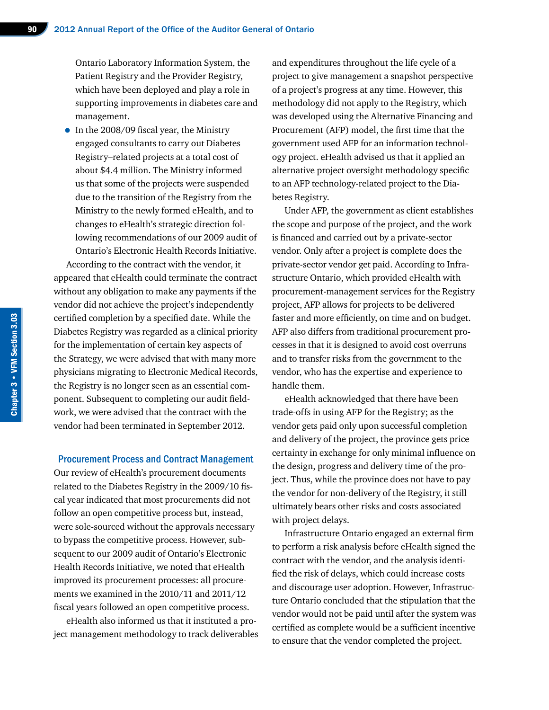Ontario Laboratory Information System, the Patient Registry and the Provider Registry, which have been deployed and play a role in supporting improvements in diabetes care and management.

• In the 2008/09 fiscal year, the Ministry engaged consultants to carry out Diabetes Registry–related projects at a total cost of about \$4.4 million. The Ministry informed us that some of the projects were suspended due to the transition of the Registry from the Ministry to the newly formed eHealth, and to changes to eHealth's strategic direction following recommendations of our 2009 audit of Ontario's Electronic Health Records Initiative.

According to the contract with the vendor, it appeared that eHealth could terminate the contract without any obligation to make any payments if the vendor did not achieve the project's independently certified completion by a specified date. While the Diabetes Registry was regarded as a clinical priority for the implementation of certain key aspects of the Strategy, we were advised that with many more physicians migrating to Electronic Medical Records, the Registry is no longer seen as an essential component. Subsequent to completing our audit fieldwork, we were advised that the contract with the vendor had been terminated in September 2012.

#### Procurement Process and Contract Management

Our review of eHealth's procurement documents related to the Diabetes Registry in the 2009/10 fiscal year indicated that most procurements did not follow an open competitive process but, instead, were sole-sourced without the approvals necessary to bypass the competitive process. However, subsequent to our 2009 audit of Ontario's Electronic Health Records Initiative, we noted that eHealth improved its procurement processes: all procurements we examined in the 2010/11 and 2011/12 fiscal years followed an open competitive process.

eHealth also informed us that it instituted a project management methodology to track deliverables and expenditures throughout the life cycle of a project to give management a snapshot perspective of a project's progress at any time. However, this methodology did not apply to the Registry, which was developed using the Alternative Financing and Procurement (AFP) model, the first time that the government used AFP for an information technology project. eHealth advised us that it applied an alternative project oversight methodology specific to an AFP technology-related project to the Diabetes Registry.

Under AFP, the government as client establishes the scope and purpose of the project, and the work is financed and carried out by a private-sector vendor. Only after a project is complete does the private-sector vendor get paid. According to Infrastructure Ontario, which provided eHealth with procurement-management services for the Registry project, AFP allows for projects to be delivered faster and more efficiently, on time and on budget. AFP also differs from traditional procurement processes in that it is designed to avoid cost overruns and to transfer risks from the government to the vendor, who has the expertise and experience to handle them.

eHealth acknowledged that there have been trade-offs in using AFP for the Registry; as the vendor gets paid only upon successful completion and delivery of the project, the province gets price certainty in exchange for only minimal influence on the design, progress and delivery time of the project. Thus, while the province does not have to pay the vendor for non-delivery of the Registry, it still ultimately bears other risks and costs associated with project delays.

Infrastructure Ontario engaged an external firm to perform a risk analysis before eHealth signed the contract with the vendor, and the analysis identified the risk of delays, which could increase costs and discourage user adoption. However, Infrastructure Ontario concluded that the stipulation that the vendor would not be paid until after the system was certified as complete would be a sufficient incentive to ensure that the vendor completed the project.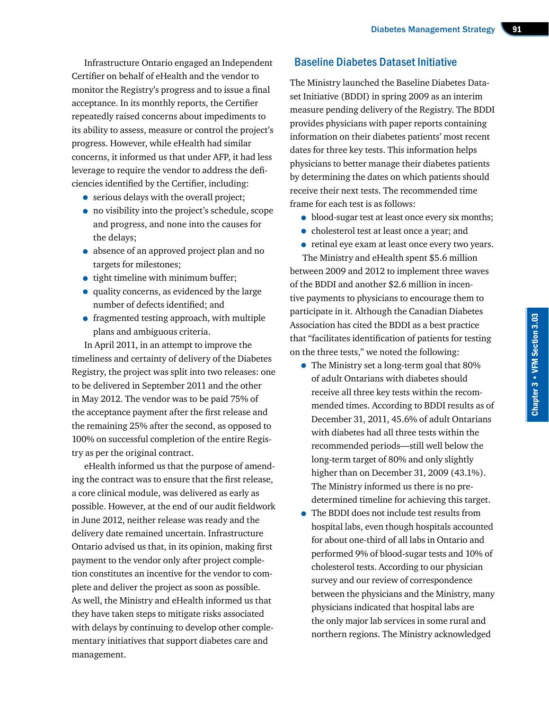Infrastructure Ontario engaged an Independent Certifier on behalf of eHealth and the vendor to monitor the Registry's progress and to issue a final acceptance. In its monthly reports, the Certifier repeatedly raised concerns about impediments to its ability to assess, measure or control the project's progress. However, while eHealth had similar concerns, it informed us that under AFP, it had less leverage to require the vendor to address the deficiencies identified by the Certifier, including:

- serious delays with the overall project;
- no visibility into the project's schedule, scope and progress, and none into the causes for the delays;
- absence of an approved project plan and no targets for milestones;
- tight timeline with minimum buffer;
- quality concerns, as evidenced by the large number of defects identified; and
- fragmented testing approach, with multiple plans and ambiguous criteria.

In April 2011, in an attempt to improve the timeliness and certainty of delivery of the Diabetes Registry, the project was split into two releases: one to be delivered in September 2011 and the other in May 2012. The vendor was to be paid 75% of the acceptance payment after the first release and the remaining 25% after the second, as opposed to 100% on successful completion of the entire Registry as per the original contract.

eHealth informed us that the purpose of amending the contract was to ensure that the first release, a core clinical module, was delivered as early as possible. However, at the end of our audit fieldwork in June 2012, neither release was ready and the delivery date remained uncertain. Infrastructure Ontario advised us that, in its opinion, making first payment to the vendor only after project completion constitutes an incentive for the vendor to complete and deliver the project as soon as possible. As well, the Ministry and eHealth informed us that they have taken steps to mitigate risks associated with delays by continuing to develop other complementary initiatives that support diabetes care and management.

#### Baseline Diabetes Dataset Initiative

The Ministry launched the Baseline Diabetes Dataset Initiative (BDDI) in spring 2009 as an interim measure pending delivery of the Registry. The BDDI provides physicians with paper reports containing information on their diabetes patients' most recent dates for three key tests. This information helps physicians to better manage their diabetes patients by determining the dates on which patients should receive their next tests. The recommended time frame for each test is as follows:

- blood-sugar test at least once every six months;
- cholesterol test at least once a year; and
- retinal eye exam at least once every two years.

The Ministry and eHealth spent \$5.6 million between 2009 and 2012 to implement three waves of the BDDI and another \$2.6 million in incentive payments to physicians to encourage them to participate in it. Although the Canadian Diabetes Association has cited the BDDI as a best practice that "facilitates identification of patients for testing on the three tests," we noted the following:

- The Ministry set a long-term goal that 80% of adult Ontarians with diabetes should receive all three key tests within the recommended times. According to BDDI results as of December 31, 2011, 45.6% of adult Ontarians with diabetes had all three tests within the recommended periods—still well below the long-term target of 80% and only slightly higher than on December 31, 2009 (43.1%). The Ministry informed us there is no predetermined timeline for achieving this target.
- The BDDI does not include test results from hospital labs, even though hospitals accounted for about one-third of all labs in Ontario and performed 9% of blood-sugar tests and 10% of cholesterol tests. According to our physician survey and our review of correspondence between the physicians and the Ministry, many physicians indicated that hospital labs are the only major lab services in some rural and northern regions. The Ministry acknowledged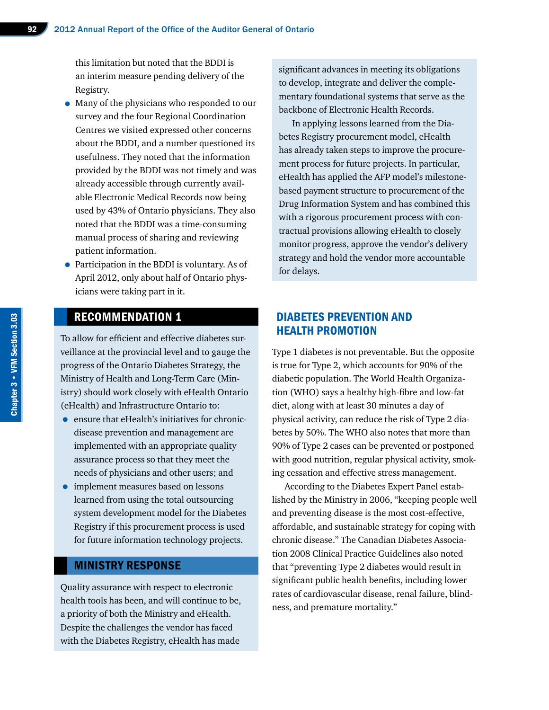this limitation but noted that the BDDI is an interim measure pending delivery of the Registry.

- Many of the physicians who responded to our survey and the four Regional Coordination Centres we visited expressed other concerns about the BDDI, and a number questioned its usefulness. They noted that the information provided by the BDDI was not timely and was already accessible through currently available Electronic Medical Records now being used by 43% of Ontario physicians. They also noted that the BDDI was a time-consuming manual process of sharing and reviewing patient information.
- Participation in the BDDI is voluntary. As of April 2012, only about half of Ontario physicians were taking part in it.

#### RECOMMENDATION 1

To allow for efficient and effective diabetes surveillance at the provincial level and to gauge the progress of the Ontario Diabetes Strategy, the Ministry of Health and Long-Term Care (Ministry) should work closely with eHealth Ontario (eHealth) and Infrastructure Ontario to:

- ensure that eHealth's initiatives for chronicdisease prevention and management are implemented with an appropriate quality assurance process so that they meet the needs of physicians and other users; and
- implement measures based on lessons learned from using the total outsourcing system development model for the Diabetes Registry if this procurement process is used for future information technology projects.

#### MINISTRY RESPONSE

Quality assurance with respect to electronic health tools has been, and will continue to be, a priority of both the Ministry and eHealth. Despite the challenges the vendor has faced with the Diabetes Registry, eHealth has made

significant advances in meeting its obligations to develop, integrate and deliver the complementary foundational systems that serve as the backbone of Electronic Health Records.

In applying lessons learned from the Diabetes Registry procurement model, eHealth has already taken steps to improve the procurement process for future projects. In particular, eHealth has applied the AFP model's milestonebased payment structure to procurement of the Drug Information System and has combined this with a rigorous procurement process with contractual provisions allowing eHealth to closely monitor progress, approve the vendor's delivery strategy and hold the vendor more accountable for delays.

#### DIABETES PREVENTION AND HEALTH PROMOTION

Type 1 diabetes is not preventable. But the opposite is true for Type 2, which accounts for 90% of the diabetic population. The World Health Organization (WHO) says a healthy high-fibre and low-fat diet, along with at least 30 minutes a day of physical activity, can reduce the risk of Type 2 diabetes by 50%. The WHO also notes that more than 90% of Type 2 cases can be prevented or postponed with good nutrition, regular physical activity, smoking cessation and effective stress management.

According to the Diabetes Expert Panel established by the Ministry in 2006, "keeping people well and preventing disease is the most cost-effective, affordable, and sustainable strategy for coping with chronic disease." The Canadian Diabetes Association 2008 Clinical Practice Guidelines also noted that "preventing Type 2 diabetes would result in significant public health benefits, including lower rates of cardiovascular disease, renal failure, blindness, and premature mortality."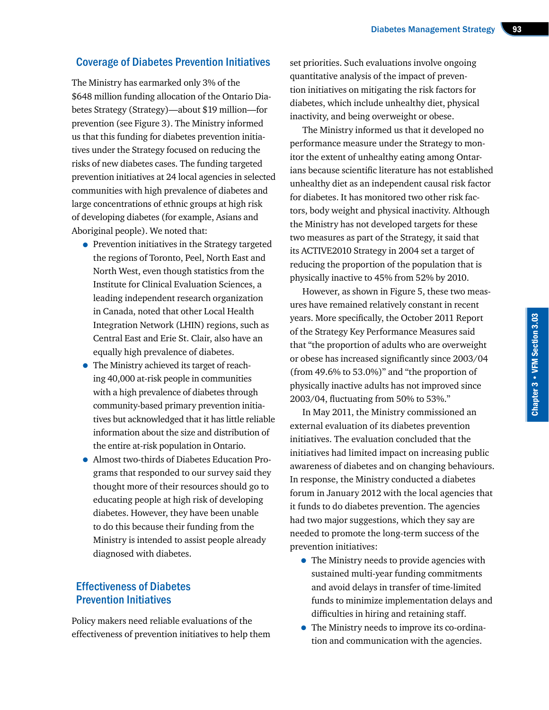#### Coverage of Diabetes Prevention Initiatives

The Ministry has earmarked only 3% of the \$648 million funding allocation of the Ontario Diabetes Strategy (Strategy)—about \$19 million—for prevention (see Figure 3). The Ministry informed us that this funding for diabetes prevention initiatives under the Strategy focused on reducing the risks of new diabetes cases. The funding targeted prevention initiatives at 24 local agencies in selected communities with high prevalence of diabetes and large concentrations of ethnic groups at high risk of developing diabetes (for example, Asians and Aboriginal people). We noted that:

- Prevention initiatives in the Strategy targeted the regions of Toronto, Peel, North East and North West, even though statistics from the Institute for Clinical Evaluation Sciences, a leading independent research organization in Canada, noted that other Local Health Integration Network (LHIN) regions, such as Central East and Erie St. Clair, also have an equally high prevalence of diabetes.
- The Ministry achieved its target of reaching 40,000 at-risk people in communities with a high prevalence of diabetes through community-based primary prevention initiatives but acknowledged that it has little reliable information about the size and distribution of the entire at-risk population in Ontario.
- Almost two-thirds of Diabetes Education Programs that responded to our survey said they thought more of their resources should go to educating people at high risk of developing diabetes. However, they have been unable to do this because their funding from the Ministry is intended to assist people already diagnosed with diabetes.

#### Effectiveness of Diabetes Prevention Initiatives

Policy makers need reliable evaluations of the effectiveness of prevention initiatives to help them set priorities. Such evaluations involve ongoing quantitative analysis of the impact of prevention initiatives on mitigating the risk factors for diabetes, which include unhealthy diet, physical inactivity, and being overweight or obese.

The Ministry informed us that it developed no performance measure under the Strategy to monitor the extent of unhealthy eating among Ontarians because scientific literature has not established unhealthy diet as an independent causal risk factor for diabetes. It has monitored two other risk factors, body weight and physical inactivity. Although the Ministry has not developed targets for these two measures as part of the Strategy, it said that its ACTIVE2010 Strategy in 2004 set a target of reducing the proportion of the population that is physically inactive to 45% from 52% by 2010.

However, as shown in Figure 5, these two measures have remained relatively constant in recent years. More specifically, the October 2011 Report of the Strategy Key Performance Measures said that "the proportion of adults who are overweight or obese has increased significantly since 2003/04 (from 49.6% to 53.0%)" and "the proportion of physically inactive adults has not improved since 2003/04, fluctuating from 50% to 53%."

In May 2011, the Ministry commissioned an external evaluation of its diabetes prevention initiatives. The evaluation concluded that the initiatives had limited impact on increasing public awareness of diabetes and on changing behaviours. In response, the Ministry conducted a diabetes forum in January 2012 with the local agencies that it funds to do diabetes prevention. The agencies had two major suggestions, which they say are needed to promote the long-term success of the prevention initiatives:

- The Ministry needs to provide agencies with sustained multi-year funding commitments and avoid delays in transfer of time-limited funds to minimize implementation delays and difficulties in hiring and retaining staff.
- The Ministry needs to improve its co-ordination and communication with the agencies.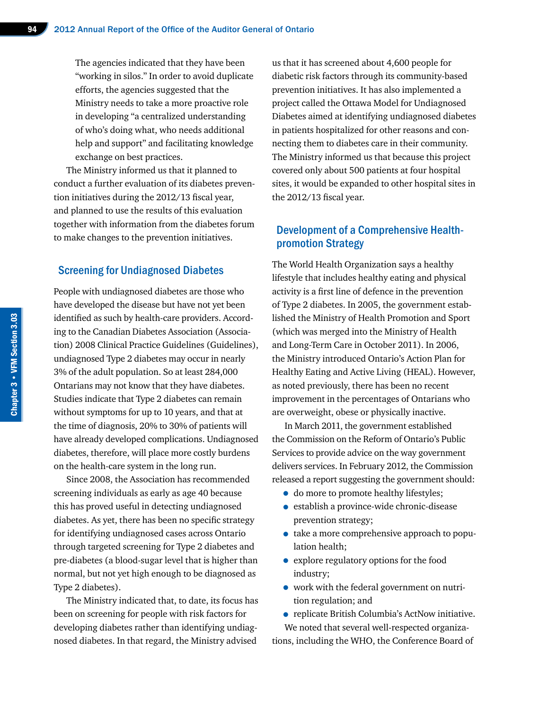The agencies indicated that they have been "working in silos." In order to avoid duplicate efforts, the agencies suggested that the Ministry needs to take a more proactive role in developing "a centralized understanding of who's doing what, who needs additional help and support" and facilitating knowledge exchange on best practices.

The Ministry informed us that it planned to conduct a further evaluation of its diabetes prevention initiatives during the 2012/13 fiscal year, and planned to use the results of this evaluation together with information from the diabetes forum to make changes to the prevention initiatives.

#### Screening for Undiagnosed Diabetes

People with undiagnosed diabetes are those who have developed the disease but have not yet been identified as such by health-care providers. According to the Canadian Diabetes Association (Association) 2008 Clinical Practice Guidelines (Guidelines), undiagnosed Type 2 diabetes may occur in nearly 3% of the adult population. So at least 284,000 Ontarians may not know that they have diabetes. Studies indicate that Type 2 diabetes can remain without symptoms for up to 10 years, and that at the time of diagnosis, 20% to 30% of patients will have already developed complications. Undiagnosed diabetes, therefore, will place more costly burdens on the health-care system in the long run.

Since 2008, the Association has recommended screening individuals as early as age 40 because this has proved useful in detecting undiagnosed diabetes. As yet, there has been no specific strategy for identifying undiagnosed cases across Ontario through targeted screening for Type 2 diabetes and pre-diabetes (a blood-sugar level that is higher than normal, but not yet high enough to be diagnosed as Type 2 diabetes).

The Ministry indicated that, to date, its focus has been on screening for people with risk factors for developing diabetes rather than identifying undiagnosed diabetes. In that regard, the Ministry advised

us that it has screened about 4,600 people for diabetic risk factors through its community-based prevention initiatives. It has also implemented a project called the Ottawa Model for Undiagnosed Diabetes aimed at identifying undiagnosed diabetes in patients hospitalized for other reasons and connecting them to diabetes care in their community. The Ministry informed us that because this project covered only about 500 patients at four hospital sites, it would be expanded to other hospital sites in the 2012/13 fiscal year.

#### Development of a Comprehensive Healthpromotion Strategy

The World Health Organization says a healthy lifestyle that includes healthy eating and physical activity is a first line of defence in the prevention of Type 2 diabetes. In 2005, the government established the Ministry of Health Promotion and Sport (which was merged into the Ministry of Health and Long-Term Care in October 2011). In 2006, the Ministry introduced Ontario's Action Plan for Healthy Eating and Active Living (HEAL). However, as noted previously, there has been no recent improvement in the percentages of Ontarians who are overweight, obese or physically inactive.

In March 2011, the government established the Commission on the Reform of Ontario's Public Services to provide advice on the way government delivers services. In February 2012, the Commission released a report suggesting the government should:

- do more to promote healthy lifestyles;
- establish a province-wide chronic-disease prevention strategy;
- take a more comprehensive approach to population health;
- explore regulatory options for the food industry;
- work with the federal government on nutrition regulation; and
- replicate British Columbia's ActNow initiative. We noted that several well-respected organiza-

tions, including the WHO, the Conference Board of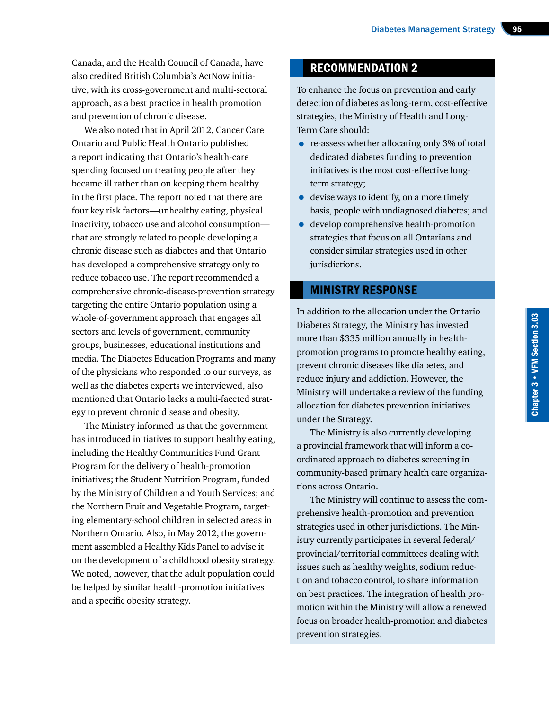Canada, and the Health Council of Canada, have also credited British Columbia's ActNow initiative, with its cross-government and multi-sectoral approach, as a best practice in health promotion and prevention of chronic disease.

We also noted that in April 2012, Cancer Care Ontario and Public Health Ontario published a report indicating that Ontario's health-care spending focused on treating people after they became ill rather than on keeping them healthy in the first place. The report noted that there are four key risk factors—unhealthy eating, physical inactivity, tobacco use and alcohol consumption that are strongly related to people developing a chronic disease such as diabetes and that Ontario has developed a comprehensive strategy only to reduce tobacco use. The report recommended a comprehensive chronic-disease-prevention strategy targeting the entire Ontario population using a whole-of-government approach that engages all sectors and levels of government, community groups, businesses, educational institutions and media. The Diabetes Education Programs and many of the physicians who responded to our surveys, as well as the diabetes experts we interviewed, also mentioned that Ontario lacks a multi-faceted strategy to prevent chronic disease and obesity.

The Ministry informed us that the government has introduced initiatives to support healthy eating, including the Healthy Communities Fund Grant Program for the delivery of health-promotion initiatives; the Student Nutrition Program, funded by the Ministry of Children and Youth Services; and the Northern Fruit and Vegetable Program, targeting elementary-school children in selected areas in Northern Ontario. Also, in May 2012, the government assembled a Healthy Kids Panel to advise it on the development of a childhood obesity strategy. We noted, however, that the adult population could be helped by similar health-promotion initiatives and a specific obesity strategy.

#### RECOMMENDATION 2

To enhance the focus on prevention and early detection of diabetes as long-term, cost-effective strategies, the Ministry of Health and Long-Term Care should:

- re-assess whether allocating only 3% of total dedicated diabetes funding to prevention initiatives is the most cost-effective longterm strategy;
- devise ways to identify, on a more timely basis, people with undiagnosed diabetes; and
- develop comprehensive health-promotion strategies that focus on all Ontarians and consider similar strategies used in other jurisdictions.

#### MINISTRY RESPONSE

In addition to the allocation under the Ontario Diabetes Strategy, the Ministry has invested more than \$335 million annually in healthpromotion programs to promote healthy eating, prevent chronic diseases like diabetes, and reduce injury and addiction. However, the Ministry will undertake a review of the funding allocation for diabetes prevention initiatives under the Strategy.

The Ministry is also currently developing a provincial framework that will inform a coordinated approach to diabetes screening in community-based primary health care organizations across Ontario.

The Ministry will continue to assess the comprehensive health-promotion and prevention strategies used in other jurisdictions. The Ministry currently participates in several federal/ provincial/territorial committees dealing with issues such as healthy weights, sodium reduction and tobacco control, to share information on best practices. The integration of health promotion within the Ministry will allow a renewed focus on broader health-promotion and diabetes prevention strategies.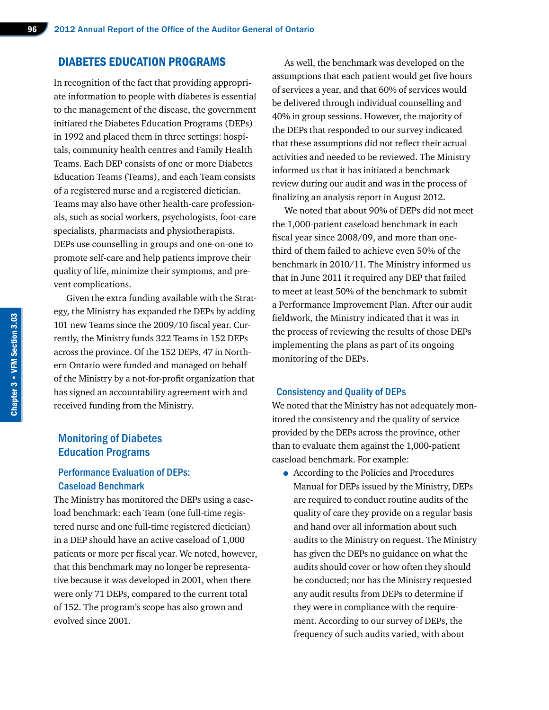#### DIABETES EDUCATION PROGRAMS

In recognition of the fact that providing appropriate information to people with diabetes is essential to the management of the disease, the government initiated the Diabetes Education Programs (DEPs) in 1992 and placed them in three settings: hospitals, community health centres and Family Health Teams. Each DEP consists of one or more Diabetes Education Teams (Teams), and each Team consists of a registered nurse and a registered dietician. Teams may also have other health-care professionals, such as social workers, psychologists, foot-care specialists, pharmacists and physiotherapists. DEPs use counselling in groups and one-on-one to promote self-care and help patients improve their quality of life, minimize their symptoms, and prevent complications.

Given the extra funding available with the Strategy, the Ministry has expanded the DEPs by adding 101 new Teams since the 2009/10 fiscal year. Currently, the Ministry funds 322 Teams in 152 DEPs across the province. Of the 152 DEPs, 47 in Northern Ontario were funded and managed on behalf of the Ministry by a not-for-profit organization that has signed an accountability agreement with and received funding from the Ministry.

#### Monitoring of Diabetes Education Programs

#### Performance Evaluation of DEPs: Caseload Benchmark

The Ministry has monitored the DEPs using a caseload benchmark: each Team (one full-time registered nurse and one full-time registered dietician) in a DEP should have an active caseload of 1,000 patients or more per fiscal year. We noted, however, that this benchmark may no longer be representative because it was developed in 2001, when there were only 71 DEPs, compared to the current total of 152. The program's scope has also grown and evolved since 2001.

As well, the benchmark was developed on the assumptions that each patient would get five hours of services a year, and that 60% of services would be delivered through individual counselling and 40% in group sessions. However, the majority of the DEPs that responded to our survey indicated that these assumptions did not reflect their actual activities and needed to be reviewed. The Ministry informed us that it has initiated a benchmark review during our audit and was in the process of finalizing an analysis report in August 2012.

We noted that about 90% of DEPs did not meet the 1,000-patient caseload benchmark in each fiscal year since 2008/09, and more than onethird of them failed to achieve even 50% of the benchmark in 2010/11. The Ministry informed us that in June 2011 it required any DEP that failed to meet at least 50% of the benchmark to submit a Performance Improvement Plan. After our audit fieldwork, the Ministry indicated that it was in the process of reviewing the results of those DEPs implementing the plans as part of its ongoing monitoring of the DEPs.

#### Consistency and Quality of DEPs

We noted that the Ministry has not adequately monitored the consistency and the quality of service provided by the DEPs across the province, other than to evaluate them against the 1,000-patient caseload benchmark. For example:

• According to the Policies and Procedures Manual for DEPs issued by the Ministry, DEPs are required to conduct routine audits of the quality of care they provide on a regular basis and hand over all information about such audits to the Ministry on request. The Ministry has given the DEPs no guidance on what the audits should cover or how often they should be conducted; nor has the Ministry requested any audit results from DEPs to determine if they were in compliance with the requirement. According to our survey of DEPs, the frequency of such audits varied, with about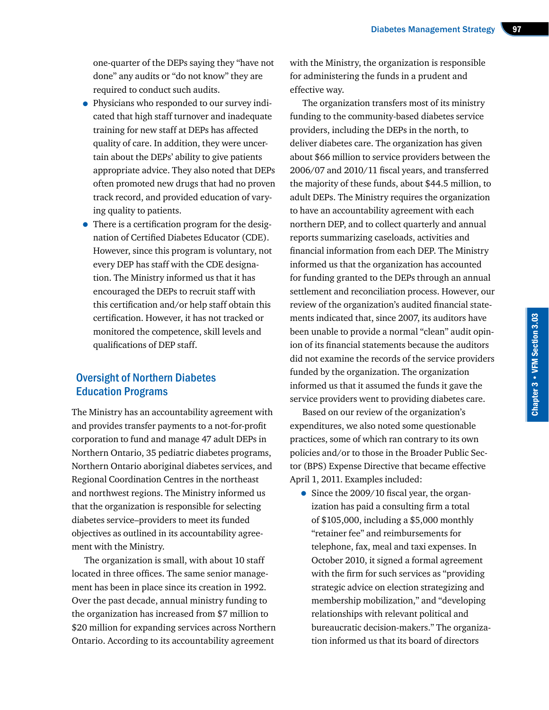one-quarter of the DEPs saying they "have not done" any audits or "do not know" they are required to conduct such audits.

- Physicians who responded to our survey indicated that high staff turnover and inadequate training for new staff at DEPs has affected quality of care. In addition, they were uncertain about the DEPs' ability to give patients appropriate advice. They also noted that DEPs often promoted new drugs that had no proven track record, and provided education of varying quality to patients.
- There is a certification program for the designation of Certified Diabetes Educator (CDE). However, since this program is voluntary, not every DEP has staff with the CDE designation. The Ministry informed us that it has encouraged the DEPs to recruit staff with this certification and/or help staff obtain this certification. However, it has not tracked or monitored the competence, skill levels and qualifications of DEP staff.

#### Oversight of Northern Diabetes Education Programs

The Ministry has an accountability agreement with and provides transfer payments to a not-for-profit corporation to fund and manage 47 adult DEPs in Northern Ontario, 35 pediatric diabetes programs, Northern Ontario aboriginal diabetes services, and Regional Coordination Centres in the northeast and northwest regions. The Ministry informed us that the organization is responsible for selecting diabetes service–providers to meet its funded objectives as outlined in its accountability agreement with the Ministry.

The organization is small, with about 10 staff located in three offices. The same senior management has been in place since its creation in 1992. Over the past decade, annual ministry funding to the organization has increased from \$7 million to \$20 million for expanding services across Northern Ontario. According to its accountability agreement

with the Ministry, the organization is responsible for administering the funds in a prudent and effective way.

The organization transfers most of its ministry funding to the community-based diabetes service providers, including the DEPs in the north, to deliver diabetes care. The organization has given about \$66 million to service providers between the 2006/07 and 2010/11 fiscal years, and transferred the majority of these funds, about \$44.5 million, to adult DEPs. The Ministry requires the organization to have an accountability agreement with each northern DEP, and to collect quarterly and annual reports summarizing caseloads, activities and financial information from each DEP. The Ministry informed us that the organization has accounted for funding granted to the DEPs through an annual settlement and reconciliation process. However, our review of the organization's audited financial statements indicated that, since 2007, its auditors have been unable to provide a normal "clean" audit opinion of its financial statements because the auditors did not examine the records of the service providers funded by the organization. The organization informed us that it assumed the funds it gave the service providers went to providing diabetes care.

Based on our review of the organization's expenditures, we also noted some questionable practices, some of which ran contrary to its own policies and/or to those in the Broader Public Sector (BPS) Expense Directive that became effective April 1, 2011. Examples included:

• Since the 2009/10 fiscal year, the organization has paid a consulting firm a total of \$105,000, including a \$5,000 monthly "retainer fee" and reimbursements for telephone, fax, meal and taxi expenses. In October 2010, it signed a formal agreement with the firm for such services as "providing strategic advice on election strategizing and membership mobilization," and "developing relationships with relevant political and bureaucratic decision-makers." The organization informed us that its board of directors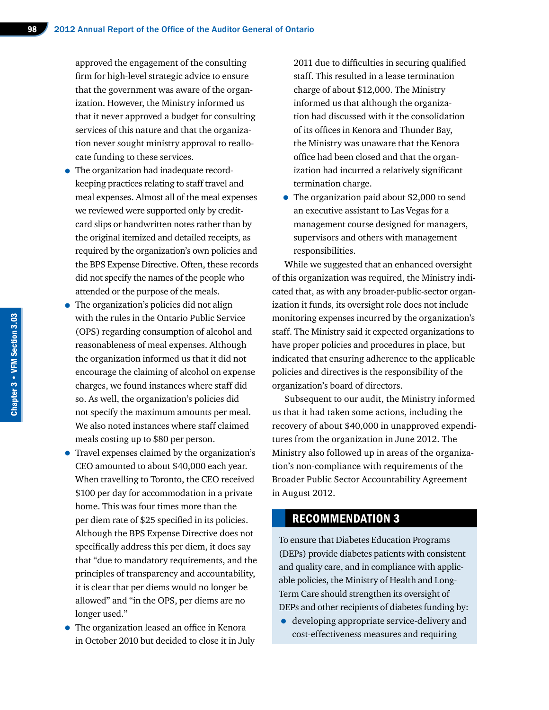approved the engagement of the consulting firm for high-level strategic advice to ensure that the government was aware of the organization. However, the Ministry informed us that it never approved a budget for consulting services of this nature and that the organization never sought ministry approval to reallocate funding to these services.

- The organization had inadequate recordkeeping practices relating to staff travel and meal expenses. Almost all of the meal expenses we reviewed were supported only by creditcard slips or handwritten notes rather than by the original itemized and detailed receipts, as required by the organization's own policies and the BPS Expense Directive. Often, these records did not specify the names of the people who attended or the purpose of the meals.
- The organization's policies did not align with the rules in the Ontario Public Service (OPS) regarding consumption of alcohol and reasonableness of meal expenses. Although the organization informed us that it did not encourage the claiming of alcohol on expense charges, we found instances where staff did so. As well, the organization's policies did not specify the maximum amounts per meal. We also noted instances where staff claimed meals costing up to \$80 per person.
- Travel expenses claimed by the organization's CEO amounted to about \$40,000 each year. When travelling to Toronto, the CEO received \$100 per day for accommodation in a private home. This was four times more than the per diem rate of \$25 specified in its policies. Although the BPS Expense Directive does not specifically address this per diem, it does say that "due to mandatory requirements, and the principles of transparency and accountability, it is clear that per diems would no longer be allowed" and "in the OPS, per diems are no longer used."
- The organization leased an office in Kenora in October 2010 but decided to close it in July

2011 due to difficulties in securing qualified staff. This resulted in a lease termination charge of about \$12,000. The Ministry informed us that although the organization had discussed with it the consolidation of its offices in Kenora and Thunder Bay, the Ministry was unaware that the Kenora office had been closed and that the organization had incurred a relatively significant termination charge.

• The organization paid about \$2,000 to send an executive assistant to Las Vegas for a management course designed for managers, supervisors and others with management responsibilities.

While we suggested that an enhanced oversight of this organization was required, the Ministry indicated that, as with any broader-public-sector organization it funds, its oversight role does not include monitoring expenses incurred by the organization's staff. The Ministry said it expected organizations to have proper policies and procedures in place, but indicated that ensuring adherence to the applicable policies and directives is the responsibility of the organization's board of directors.

Subsequent to our audit, the Ministry informed us that it had taken some actions, including the recovery of about \$40,000 in unapproved expenditures from the organization in June 2012. The Ministry also followed up in areas of the organization's non-compliance with requirements of the Broader Public Sector Accountability Agreement in August 2012.

#### RECOMMENDATION 3

To ensure that Diabetes Education Programs (DEPs) provide diabetes patients with consistent and quality care, and in compliance with applicable policies, the Ministry of Health and Long-Term Care should strengthen its oversight of DEPs and other recipients of diabetes funding by:

• developing appropriate service-delivery and cost-effectiveness measures and requiring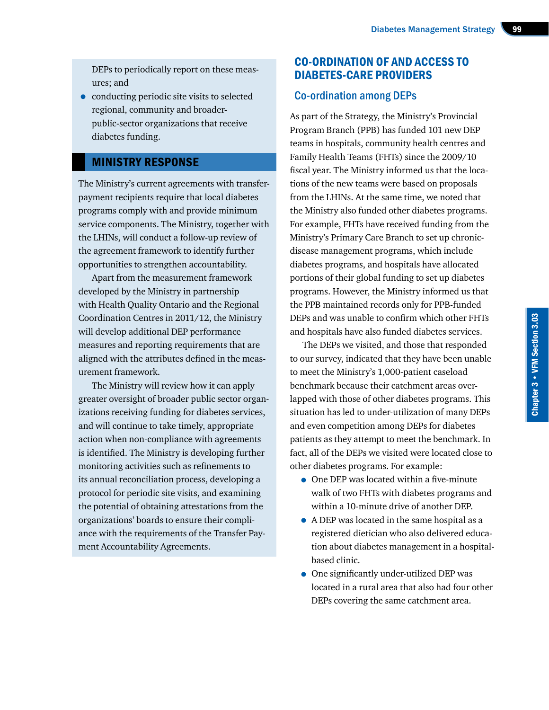DEPs to periodically report on these measures; and

• conducting periodic site visits to selected regional, community and broaderpublic-sector organizations that receive diabetes funding.

#### MINISTRY RESPONSE

The Ministry's current agreements with transferpayment recipients require that local diabetes programs comply with and provide minimum service components. The Ministry, together with the LHINs, will conduct a follow-up review of the agreement framework to identify further opportunities to strengthen accountability.

Apart from the measurement framework developed by the Ministry in partnership with Health Quality Ontario and the Regional Coordination Centres in 2011/12, the Ministry will develop additional DEP performance measures and reporting requirements that are aligned with the attributes defined in the measurement framework.

The Ministry will review how it can apply greater oversight of broader public sector organizations receiving funding for diabetes services, and will continue to take timely, appropriate action when non-compliance with agreements is identified. The Ministry is developing further monitoring activities such as refinements to its annual reconciliation process, developing a protocol for periodic site visits, and examining the potential of obtaining attestations from the organizations' boards to ensure their compliance with the requirements of the Transfer Payment Accountability Agreements.

#### CO-ORDINATION OF AND ACCESS TO DIABETES-CARE PROVIDERS

#### Co-ordination among DEPs

As part of the Strategy, the Ministry's Provincial Program Branch (PPB) has funded 101 new DEP teams in hospitals, community health centres and Family Health Teams (FHTs) since the 2009/10 fiscal year. The Ministry informed us that the locations of the new teams were based on proposals from the LHINs. At the same time, we noted that the Ministry also funded other diabetes programs. For example, FHTs have received funding from the Ministry's Primary Care Branch to set up chronicdisease management programs, which include diabetes programs, and hospitals have allocated portions of their global funding to set up diabetes programs. However, the Ministry informed us that the PPB maintained records only for PPB-funded DEPs and was unable to confirm which other FHTs and hospitals have also funded diabetes services.

The DEPs we visited, and those that responded to our survey, indicated that they have been unable to meet the Ministry's 1,000-patient caseload benchmark because their catchment areas overlapped with those of other diabetes programs. This situation has led to under-utilization of many DEPs and even competition among DEPs for diabetes patients as they attempt to meet the benchmark. In fact, all of the DEPs we visited were located close to other diabetes programs. For example:

- One DEP was located within a five-minute walk of two FHTs with diabetes programs and within a 10-minute drive of another DEP.
- A DEP was located in the same hospital as a registered dietician who also delivered education about diabetes management in a hospitalbased clinic.
- One significantly under-utilized DEP was located in a rural area that also had four other DEPs covering the same catchment area.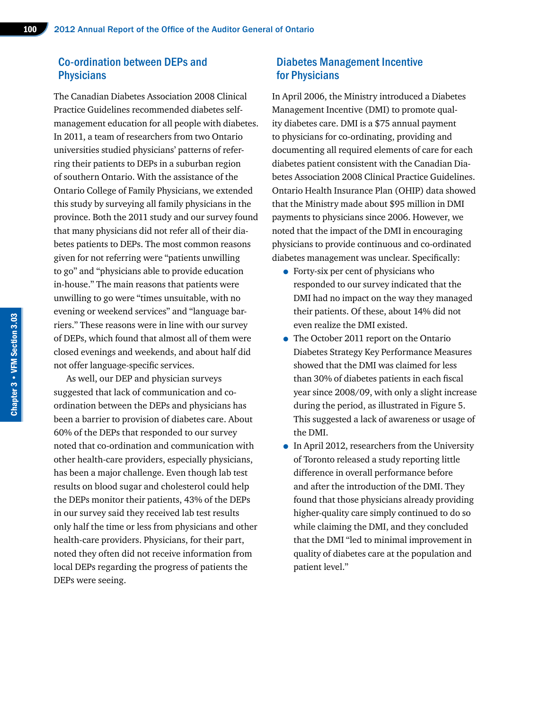#### Co-ordination between DEPs and **Physicians**

The Canadian Diabetes Association 2008 Clinical Practice Guidelines recommended diabetes selfmanagement education for all people with diabetes. In 2011, a team of researchers from two Ontario universities studied physicians' patterns of referring their patients to DEPs in a suburban region of southern Ontario. With the assistance of the Ontario College of Family Physicians, we extended this study by surveying all family physicians in the province. Both the 2011 study and our survey found that many physicians did not refer all of their diabetes patients to DEPs. The most common reasons given for not referring were "patients unwilling to go" and "physicians able to provide education in-house." The main reasons that patients were unwilling to go were "times unsuitable, with no evening or weekend services" and "language barriers." These reasons were in line with our survey of DEPs, which found that almost all of them were closed evenings and weekends, and about half did not offer language-specific services.

As well, our DEP and physician surveys suggested that lack of communication and coordination between the DEPs and physicians has been a barrier to provision of diabetes care. About 60% of the DEPs that responded to our survey noted that co-ordination and communication with other health-care providers, especially physicians, has been a major challenge. Even though lab test results on blood sugar and cholesterol could help the DEPs monitor their patients, 43% of the DEPs in our survey said they received lab test results only half the time or less from physicians and other health-care providers. Physicians, for their part, noted they often did not receive information from local DEPs regarding the progress of patients the DEPs were seeing.

#### Diabetes Management Incentive for Physicians

In April 2006, the Ministry introduced a Diabetes Management Incentive (DMI) to promote quality diabetes care. DMI is a \$75 annual payment to physicians for co-ordinating, providing and documenting all required elements of care for each diabetes patient consistent with the Canadian Diabetes Association 2008 Clinical Practice Guidelines. Ontario Health Insurance Plan (OHIP) data showed that the Ministry made about \$95 million in DMI payments to physicians since 2006. However, we noted that the impact of the DMI in encouraging physicians to provide continuous and co-ordinated diabetes management was unclear. Specifically:

- Forty-six per cent of physicians who responded to our survey indicated that the DMI had no impact on the way they managed their patients. Of these, about 14% did not even realize the DMI existed.
- The October 2011 report on the Ontario Diabetes Strategy Key Performance Measures showed that the DMI was claimed for less than 30% of diabetes patients in each fiscal year since 2008/09, with only a slight increase during the period, as illustrated in Figure 5. This suggested a lack of awareness or usage of the DMI.
- In April 2012, researchers from the University of Toronto released a study reporting little difference in overall performance before and after the introduction of the DMI. They found that those physicians already providing higher-quality care simply continued to do so while claiming the DMI, and they concluded that the DMI "led to minimal improvement in quality of diabetes care at the population and patient level."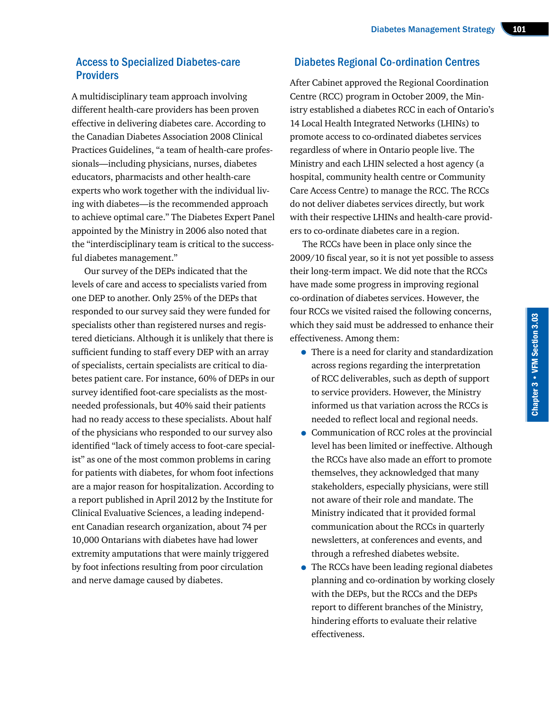#### Access to Specialized Diabetes-care **Providers**

A multidisciplinary team approach involving different health-care providers has been proven effective in delivering diabetes care. According to the Canadian Diabetes Association 2008 Clinical Practices Guidelines, "a team of health-care professionals—including physicians, nurses, diabetes educators, pharmacists and other health-care experts who work together with the individual living with diabetes—is the recommended approach to achieve optimal care." The Diabetes Expert Panel appointed by the Ministry in 2006 also noted that the "interdisciplinary team is critical to the successful diabetes management."

Our survey of the DEPs indicated that the levels of care and access to specialists varied from one DEP to another. Only 25% of the DEPs that responded to our survey said they were funded for specialists other than registered nurses and registered dieticians. Although it is unlikely that there is sufficient funding to staff every DEP with an array of specialists, certain specialists are critical to diabetes patient care. For instance, 60% of DEPs in our survey identified foot-care specialists as the mostneeded professionals, but 40% said their patients had no ready access to these specialists. About half of the physicians who responded to our survey also identified "lack of timely access to foot-care specialist" as one of the most common problems in caring for patients with diabetes, for whom foot infections are a major reason for hospitalization. According to a report published in April 2012 by the Institute for Clinical Evaluative Sciences, a leading independent Canadian research organization, about 74 per 10,000 Ontarians with diabetes have had lower extremity amputations that were mainly triggered by foot infections resulting from poor circulation and nerve damage caused by diabetes.

#### Diabetes Regional Co-ordination Centres

After Cabinet approved the Regional Coordination Centre (RCC) program in October 2009, the Ministry established a diabetes RCC in each of Ontario's 14 Local Health Integrated Networks (LHINs) to promote access to co-ordinated diabetes services regardless of where in Ontario people live. The Ministry and each LHIN selected a host agency (a hospital, community health centre or Community Care Access Centre) to manage the RCC. The RCCs do not deliver diabetes services directly, but work with their respective LHINs and health-care providers to co-ordinate diabetes care in a region.

The RCCs have been in place only since the 2009/10 fiscal year, so it is not yet possible to assess their long-term impact. We did note that the RCCs have made some progress in improving regional co-ordination of diabetes services. However, the four RCCs we visited raised the following concerns, which they said must be addressed to enhance their effectiveness. Among them:

- There is a need for clarity and standardization across regions regarding the interpretation of RCC deliverables, such as depth of support to service providers. However, the Ministry informed us that variation across the RCCs is needed to reflect local and regional needs.
- Communication of RCC roles at the provincial level has been limited or ineffective. Although the RCCs have also made an effort to promote themselves, they acknowledged that many stakeholders, especially physicians, were still not aware of their role and mandate. The Ministry indicated that it provided formal communication about the RCCs in quarterly newsletters, at conferences and events, and through a refreshed diabetes website.
- The RCCs have been leading regional diabetes planning and co-ordination by working closely with the DEPs, but the RCCs and the DEPs report to different branches of the Ministry, hindering efforts to evaluate their relative effectiveness.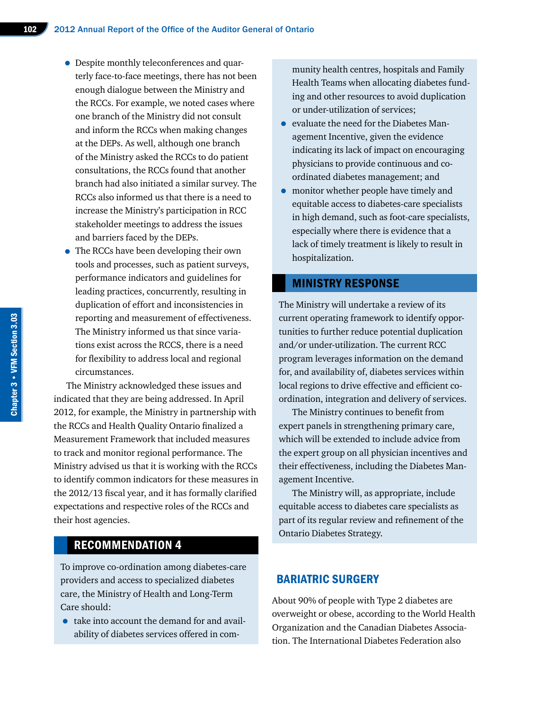- Despite monthly teleconferences and quarterly face-to-face meetings, there has not been enough dialogue between the Ministry and the RCCs. For example, we noted cases where one branch of the Ministry did not consult and inform the RCCs when making changes at the DEPs. As well, although one branch of the Ministry asked the RCCs to do patient consultations, the RCCs found that another branch had also initiated a similar survey. The RCCs also informed us that there is a need to increase the Ministry's participation in RCC stakeholder meetings to address the issues and barriers faced by the DEPs.
- The RCCs have been developing their own tools and processes, such as patient surveys, performance indicators and guidelines for leading practices, concurrently, resulting in duplication of effort and inconsistencies in reporting and measurement of effectiveness. The Ministry informed us that since variations exist across the RCCS, there is a need for flexibility to address local and regional circumstances.

The Ministry acknowledged these issues and indicated that they are being addressed. In April 2012, for example, the Ministry in partnership with the RCCs and Health Quality Ontario finalized a Measurement Framework that included measures to track and monitor regional performance. The Ministry advised us that it is working with the RCCs to identify common indicators for these measures in the 2012/13 fiscal year, and it has formally clarified expectations and respective roles of the RCCs and their host agencies.

#### RECOMMENDATION 4

To improve co-ordination among diabetes-care providers and access to specialized diabetes care, the Ministry of Health and Long-Term Care should:

• take into account the demand for and availability of diabetes services offered in community health centres, hospitals and Family Health Teams when allocating diabetes funding and other resources to avoid duplication or under-utilization of services;

- evaluate the need for the Diabetes Management Incentive, given the evidence indicating its lack of impact on encouraging physicians to provide continuous and coordinated diabetes management; and
- monitor whether people have timely and equitable access to diabetes-care specialists in high demand, such as foot-care specialists, especially where there is evidence that a lack of timely treatment is likely to result in hospitalization.

#### MINISTRY RESPONSE

The Ministry will undertake a review of its current operating framework to identify opportunities to further reduce potential duplication and/or under-utilization. The current RCC program leverages information on the demand for, and availability of, diabetes services within local regions to drive effective and efficient coordination, integration and delivery of services.

The Ministry continues to benefit from expert panels in strengthening primary care, which will be extended to include advice from the expert group on all physician incentives and their effectiveness, including the Diabetes Management Incentive.

The Ministry will, as appropriate, include equitable access to diabetes care specialists as part of its regular review and refinement of the Ontario Diabetes Strategy.

#### BARIATRIC SURGERY

About 90% of people with Type 2 diabetes are overweight or obese, according to the World Health Organization and the Canadian Diabetes Association. The International Diabetes Federation also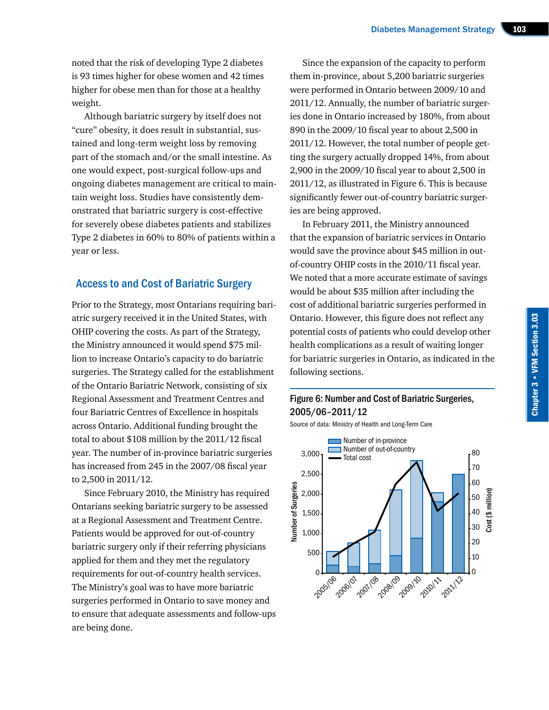noted that the risk of developing Type 2 diabetes is 93 times higher for obese women and 42 times higher for obese men than for those at a healthy weight.

Although bariatric surgery by itself does not "cure" obesity, it does result in substantial, sustained and long-term weight loss by removing part of the stomach and/or the small intestine. As one would expect, post-surgical follow-ups and ongoing diabetes management are critical to maintain weight loss. Studies have consistently demonstrated that bariatric surgery is cost-effective for severely obese diabetes patients and stabilizes Type 2 diabetes in 60% to 80% of patients within a year or less.

#### Access to and Cost of Bariatric Surgery

Prior to the Strategy, most Ontarians requiring bariatric surgery received it in the United States, with OHIP covering the costs. As part of the Strategy, the Ministry announced it would spend \$75 million to increase Ontario's capacity to do bariatric surgeries. The Strategy called for the establishment of the Ontario Bariatric Network, consisting of six Regional Assessment and Treatment Centres and four Bariatric Centres of Excellence in hospitals across Ontario. Additional funding brought the total to about \$108 million by the 2011/12 fiscal year. The number of in-province bariatric surgeries has increased from 245 in the 2007/08 fiscal year to 2,500 in 2011/12.

Since February 2010, the Ministry has required Ontarians seeking bariatric surgery to be assessed at a Regional Assessment and Treatment Centre. Patients would be approved for out-of-country bariatric surgery only if their referring physicians applied for them and they met the regulatory requirements for out-of-country health services. The Ministry's goal was to have more bariatric surgeries performed in Ontario to save money and to ensure that adequate assessments and follow-ups are being done.

Since the expansion of the capacity to perform them in-province, about 5,200 bariatric surgeries were performed in Ontario between 2009/10 and 2011/12. Annually, the number of bariatric surgeries done in Ontario increased by 180%, from about 890 in the 2009/10 fiscal year to about 2,500 in 2011/12. However, the total number of people getting the surgery actually dropped 14%, from about 2,900 in the 2009/10 fiscal year to about 2,500 in 2011/12, as illustrated in Figure 6. This is because significantly fewer out-of-country bariatric surgeries are being approved.

In February 2011, the Ministry announced that the expansion of bariatric services in Ontario would save the province about \$45 million in outof-country OHIP costs in the 2010/11 fiscal year. We noted that a more accurate estimate of savings would be about \$35 million after including the cost of additional bariatric surgeries performed in Ontario. However, this figure does not reflect any potential costs of patients who could develop other health complications as a result of waiting longer for bariatric surgeries in Ontario, as indicated in the following sections.

#### Figure 6: Number and Cost of Bariatric Surgeries, 2005/06–2011/12

Source of data: Ministry of Health and Long-Term Care

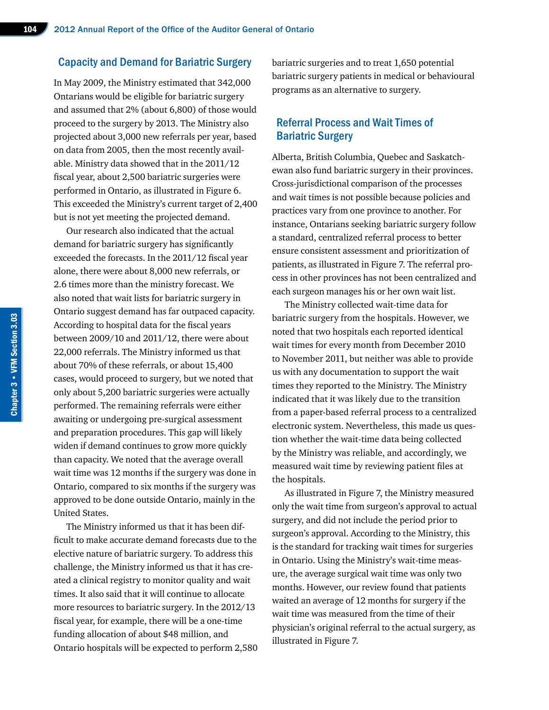#### Capacity and Demand for Bariatric Surgery

In May 2009, the Ministry estimated that 342,000 Ontarians would be eligible for bariatric surgery and assumed that 2% (about 6,800) of those would proceed to the surgery by 2013. The Ministry also projected about 3,000 new referrals per year, based on data from 2005, then the most recently available. Ministry data showed that in the 2011/12 fiscal year, about 2,500 bariatric surgeries were performed in Ontario, as illustrated in Figure 6. This exceeded the Ministry's current target of 2,400 but is not yet meeting the projected demand.

Our research also indicated that the actual demand for bariatric surgery has significantly exceeded the forecasts. In the 2011/12 fiscal year alone, there were about 8,000 new referrals, or 2.6 times more than the ministry forecast. We also noted that wait lists for bariatric surgery in Ontario suggest demand has far outpaced capacity. According to hospital data for the fiscal years between 2009/10 and 2011/12, there were about 22,000 referrals. The Ministry informed us that about 70% of these referrals, or about 15,400 cases, would proceed to surgery, but we noted that only about 5,200 bariatric surgeries were actually performed. The remaining referrals were either awaiting or undergoing pre-surgical assessment and preparation procedures. This gap will likely widen if demand continues to grow more quickly than capacity. We noted that the average overall wait time was 12 months if the surgery was done in Ontario, compared to six months if the surgery was approved to be done outside Ontario, mainly in the United States.

The Ministry informed us that it has been difficult to make accurate demand forecasts due to the elective nature of bariatric surgery. To address this challenge, the Ministry informed us that it has created a clinical registry to monitor quality and wait times. It also said that it will continue to allocate more resources to bariatric surgery. In the 2012/13 fiscal year, for example, there will be a one-time funding allocation of about \$48 million, and Ontario hospitals will be expected to perform 2,580 bariatric surgeries and to treat 1,650 potential bariatric surgery patients in medical or behavioural programs as an alternative to surgery.

#### Referral Process and Wait Times of Bariatric Surgery

Alberta, British Columbia, Quebec and Saskatchewan also fund bariatric surgery in their provinces. Cross-jurisdictional comparison of the processes and wait times is not possible because policies and practices vary from one province to another. For instance, Ontarians seeking bariatric surgery follow a standard, centralized referral process to better ensure consistent assessment and prioritization of patients, as illustrated in Figure 7. The referral process in other provinces has not been centralized and each surgeon manages his or her own wait list.

The Ministry collected wait-time data for bariatric surgery from the hospitals. However, we noted that two hospitals each reported identical wait times for every month from December 2010 to November 2011, but neither was able to provide us with any documentation to support the wait times they reported to the Ministry. The Ministry indicated that it was likely due to the transition from a paper-based referral process to a centralized electronic system. Nevertheless, this made us question whether the wait-time data being collected by the Ministry was reliable, and accordingly, we measured wait time by reviewing patient files at the hospitals.

As illustrated in Figure 7, the Ministry measured only the wait time from surgeon's approval to actual surgery, and did not include the period prior to surgeon's approval. According to the Ministry, this is the standard for tracking wait times for surgeries in Ontario. Using the Ministry's wait-time measure, the average surgical wait time was only two months. However, our review found that patients waited an average of 12 months for surgery if the wait time was measured from the time of their physician's original referral to the actual surgery, as illustrated in Figure 7.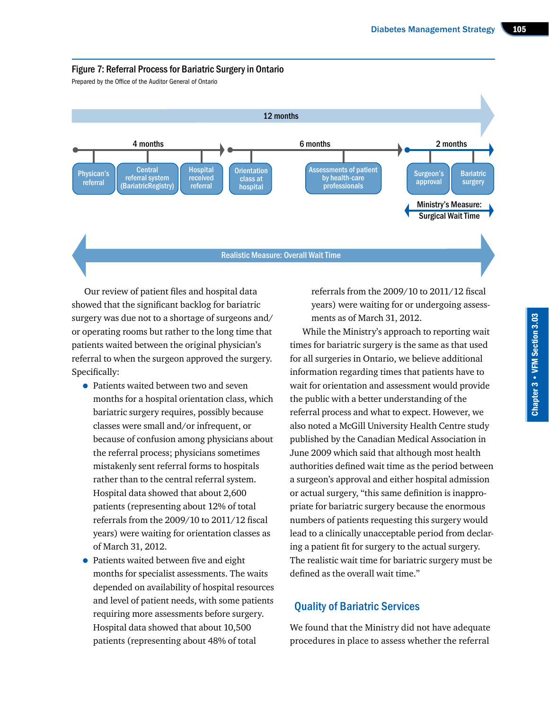

Prepared by the Office of the Auditor General of Ontario



Our review of patient files and hospital data showed that the significant backlog for bariatric surgery was due not to a shortage of surgeons and/ or operating rooms but rather to the long time that patients waited between the original physician's referral to when the surgeon approved the surgery. Specifically:

- Patients waited between two and seven months for a hospital orientation class, which bariatric surgery requires, possibly because classes were small and/or infrequent, or because of confusion among physicians about the referral process; physicians sometimes mistakenly sent referral forms to hospitals rather than to the central referral system. Hospital data showed that about 2,600 patients (representing about 12% of total referrals from the 2009/10 to 2011/12 fiscal years) were waiting for orientation classes as of March 31, 2012.
- Patients waited between five and eight months for specialist assessments. The waits depended on availability of hospital resources and level of patient needs, with some patients requiring more assessments before surgery. Hospital data showed that about 10,500 patients (representing about 48% of total

referrals from the 2009/10 to 2011/12 fiscal years) were waiting for or undergoing assessments as of March 31, 2012.

While the Ministry's approach to reporting wait times for bariatric surgery is the same as that used for all surgeries in Ontario, we believe additional information regarding times that patients have to wait for orientation and assessment would provide the public with a better understanding of the referral process and what to expect. However, we also noted a McGill University Health Centre study published by the Canadian Medical Association in June 2009 which said that although most health authorities defined wait time as the period between a surgeon's approval and either hospital admission or actual surgery, "this same definition is inappropriate for bariatric surgery because the enormous numbers of patients requesting this surgery would lead to a clinically unacceptable period from declaring a patient fit for surgery to the actual surgery. The realistic wait time for bariatric surgery must be defined as the overall wait time."

#### Quality of Bariatric Services

We found that the Ministry did not have adequate procedures in place to assess whether the referral